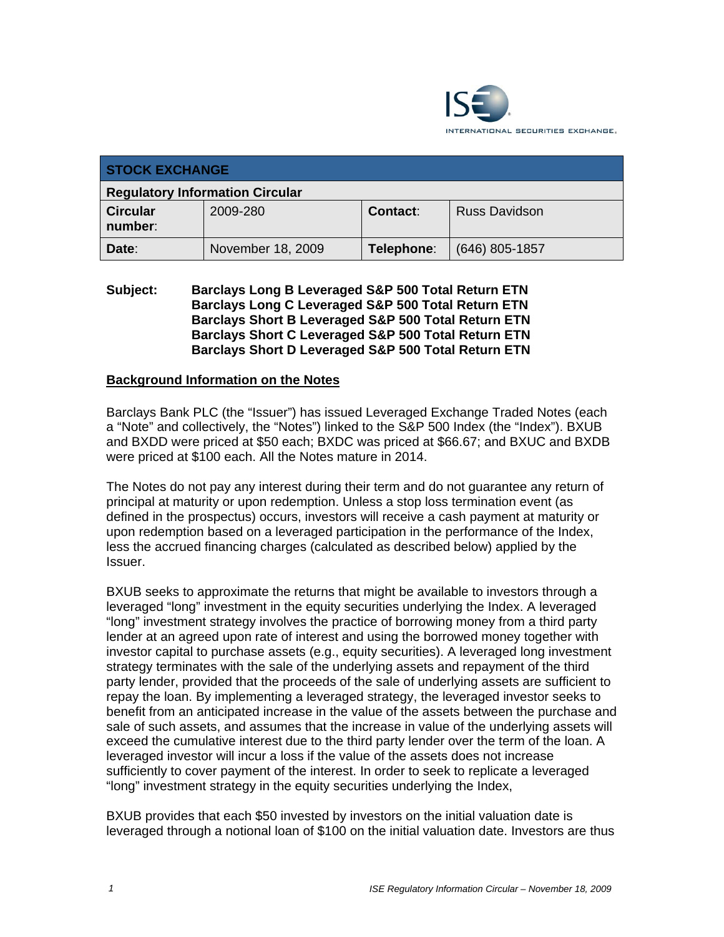

| <b>STOCK EXCHANGE</b>                  |                   |            |                      |  |  |
|----------------------------------------|-------------------|------------|----------------------|--|--|
| <b>Regulatory Information Circular</b> |                   |            |                      |  |  |
| <b>Circular</b><br>number:             | 2009-280          | Contact:   | <b>Russ Davidson</b> |  |  |
| Date:                                  | November 18, 2009 | Telephone: | $(646)$ 805-1857     |  |  |

### **Subject: Barclays Long B Leveraged S&P 500 Total Return ETN Barclays Long C Leveraged S&P 500 Total Return ETN Barclays Short B Leveraged S&P 500 Total Return ETN Barclays Short C Leveraged S&P 500 Total Return ETN Barclays Short D Leveraged S&P 500 Total Return ETN**

#### **Background Information on the Notes**

Barclays Bank PLC (the "Issuer") has issued Leveraged Exchange Traded Notes (each a "Note" and collectively, the "Notes") linked to the S&P 500 Index (the "Index"). BXUB and BXDD were priced at \$50 each; BXDC was priced at \$66.67; and BXUC and BXDB were priced at \$100 each. All the Notes mature in 2014.

The Notes do not pay any interest during their term and do not guarantee any return of principal at maturity or upon redemption. Unless a stop loss termination event (as defined in the prospectus) occurs, investors will receive a cash payment at maturity or upon redemption based on a leveraged participation in the performance of the Index, less the accrued financing charges (calculated as described below) applied by the Issuer.

BXUB seeks to approximate the returns that might be available to investors through a leveraged "long" investment in the equity securities underlying the Index. A leveraged "long" investment strategy involves the practice of borrowing money from a third party lender at an agreed upon rate of interest and using the borrowed money together with investor capital to purchase assets (e.g., equity securities). A leveraged long investment strategy terminates with the sale of the underlying assets and repayment of the third party lender, provided that the proceeds of the sale of underlying assets are sufficient to repay the loan. By implementing a leveraged strategy, the leveraged investor seeks to benefit from an anticipated increase in the value of the assets between the purchase and sale of such assets, and assumes that the increase in value of the underlying assets will exceed the cumulative interest due to the third party lender over the term of the loan. A leveraged investor will incur a loss if the value of the assets does not increase sufficiently to cover payment of the interest. In order to seek to replicate a leveraged "long" investment strategy in the equity securities underlying the Index,

BXUB provides that each \$50 invested by investors on the initial valuation date is leveraged through a notional loan of \$100 on the initial valuation date. Investors are thus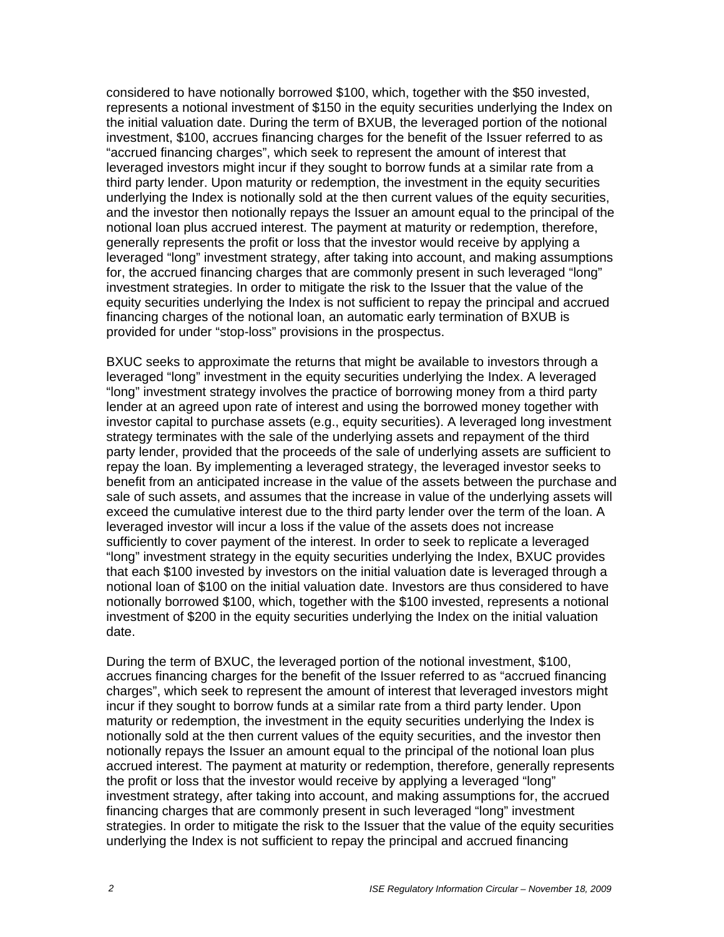considered to have notionally borrowed \$100, which, together with the \$50 invested, represents a notional investment of \$150 in the equity securities underlying the Index on the initial valuation date. During the term of BXUB, the leveraged portion of the notional investment, \$100, accrues financing charges for the benefit of the Issuer referred to as "accrued financing charges", which seek to represent the amount of interest that leveraged investors might incur if they sought to borrow funds at a similar rate from a third party lender. Upon maturity or redemption, the investment in the equity securities underlying the Index is notionally sold at the then current values of the equity securities, and the investor then notionally repays the Issuer an amount equal to the principal of the notional loan plus accrued interest. The payment at maturity or redemption, therefore, generally represents the profit or loss that the investor would receive by applying a leveraged "long" investment strategy, after taking into account, and making assumptions for, the accrued financing charges that are commonly present in such leveraged "long" investment strategies. In order to mitigate the risk to the Issuer that the value of the equity securities underlying the Index is not sufficient to repay the principal and accrued financing charges of the notional loan, an automatic early termination of BXUB is provided for under "stop-loss" provisions in the prospectus.

BXUC seeks to approximate the returns that might be available to investors through a leveraged "long" investment in the equity securities underlying the Index. A leveraged "long" investment strategy involves the practice of borrowing money from a third party lender at an agreed upon rate of interest and using the borrowed money together with investor capital to purchase assets (e.g., equity securities). A leveraged long investment strategy terminates with the sale of the underlying assets and repayment of the third party lender, provided that the proceeds of the sale of underlying assets are sufficient to repay the loan. By implementing a leveraged strategy, the leveraged investor seeks to benefit from an anticipated increase in the value of the assets between the purchase and sale of such assets, and assumes that the increase in value of the underlying assets will exceed the cumulative interest due to the third party lender over the term of the loan. A leveraged investor will incur a loss if the value of the assets does not increase sufficiently to cover payment of the interest. In order to seek to replicate a leveraged "long" investment strategy in the equity securities underlying the Index, BXUC provides that each \$100 invested by investors on the initial valuation date is leveraged through a notional loan of \$100 on the initial valuation date. Investors are thus considered to have notionally borrowed \$100, which, together with the \$100 invested, represents a notional investment of \$200 in the equity securities underlying the Index on the initial valuation date.

During the term of BXUC, the leveraged portion of the notional investment, \$100, accrues financing charges for the benefit of the Issuer referred to as "accrued financing charges", which seek to represent the amount of interest that leveraged investors might incur if they sought to borrow funds at a similar rate from a third party lender. Upon maturity or redemption, the investment in the equity securities underlying the Index is notionally sold at the then current values of the equity securities, and the investor then notionally repays the Issuer an amount equal to the principal of the notional loan plus accrued interest. The payment at maturity or redemption, therefore, generally represents the profit or loss that the investor would receive by applying a leveraged "long" investment strategy, after taking into account, and making assumptions for, the accrued financing charges that are commonly present in such leveraged "long" investment strategies. In order to mitigate the risk to the Issuer that the value of the equity securities underlying the Index is not sufficient to repay the principal and accrued financing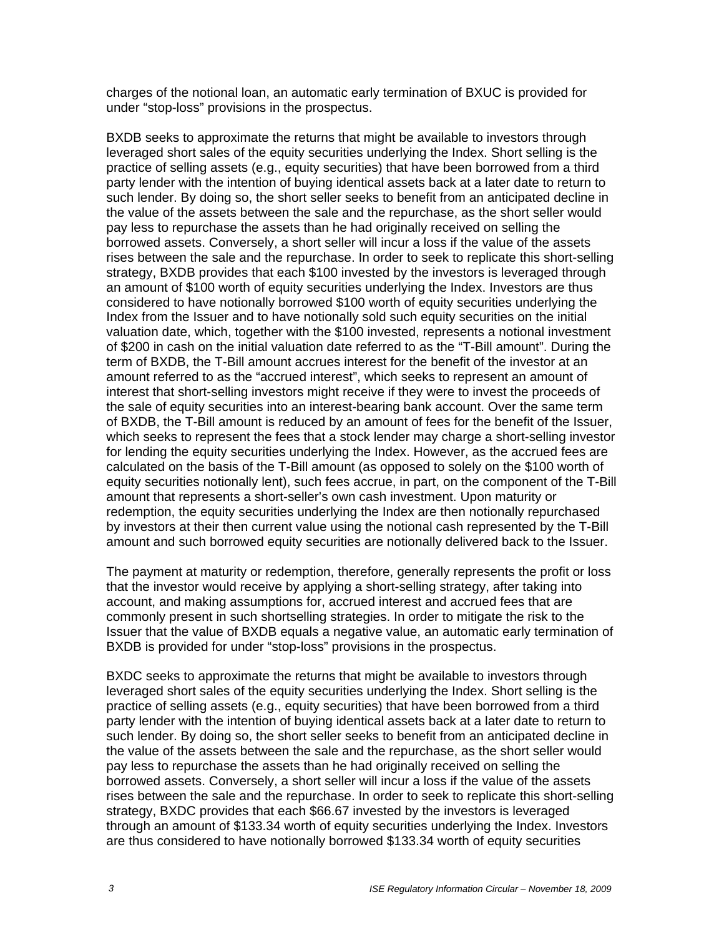charges of the notional loan, an automatic early termination of BXUC is provided for under "stop-loss" provisions in the prospectus.

BXDB seeks to approximate the returns that might be available to investors through leveraged short sales of the equity securities underlying the Index. Short selling is the practice of selling assets (e.g., equity securities) that have been borrowed from a third party lender with the intention of buying identical assets back at a later date to return to such lender. By doing so, the short seller seeks to benefit from an anticipated decline in the value of the assets between the sale and the repurchase, as the short seller would pay less to repurchase the assets than he had originally received on selling the borrowed assets. Conversely, a short seller will incur a loss if the value of the assets rises between the sale and the repurchase. In order to seek to replicate this short-selling strategy, BXDB provides that each \$100 invested by the investors is leveraged through an amount of \$100 worth of equity securities underlying the Index. Investors are thus considered to have notionally borrowed \$100 worth of equity securities underlying the Index from the Issuer and to have notionally sold such equity securities on the initial valuation date, which, together with the \$100 invested, represents a notional investment of \$200 in cash on the initial valuation date referred to as the "T-Bill amount". During the term of BXDB, the T-Bill amount accrues interest for the benefit of the investor at an amount referred to as the "accrued interest", which seeks to represent an amount of interest that short-selling investors might receive if they were to invest the proceeds of the sale of equity securities into an interest-bearing bank account. Over the same term of BXDB, the T-Bill amount is reduced by an amount of fees for the benefit of the Issuer, which seeks to represent the fees that a stock lender may charge a short-selling investor for lending the equity securities underlying the Index. However, as the accrued fees are calculated on the basis of the T-Bill amount (as opposed to solely on the \$100 worth of equity securities notionally lent), such fees accrue, in part, on the component of the T-Bill amount that represents a short-seller's own cash investment. Upon maturity or redemption, the equity securities underlying the Index are then notionally repurchased by investors at their then current value using the notional cash represented by the T-Bill amount and such borrowed equity securities are notionally delivered back to the Issuer.

The payment at maturity or redemption, therefore, generally represents the profit or loss that the investor would receive by applying a short-selling strategy, after taking into account, and making assumptions for, accrued interest and accrued fees that are commonly present in such shortselling strategies. In order to mitigate the risk to the Issuer that the value of BXDB equals a negative value, an automatic early termination of BXDB is provided for under "stop-loss" provisions in the prospectus.

BXDC seeks to approximate the returns that might be available to investors through leveraged short sales of the equity securities underlying the Index. Short selling is the practice of selling assets (e.g., equity securities) that have been borrowed from a third party lender with the intention of buying identical assets back at a later date to return to such lender. By doing so, the short seller seeks to benefit from an anticipated decline in the value of the assets between the sale and the repurchase, as the short seller would pay less to repurchase the assets than he had originally received on selling the borrowed assets. Conversely, a short seller will incur a loss if the value of the assets rises between the sale and the repurchase. In order to seek to replicate this short-selling strategy, BXDC provides that each \$66.67 invested by the investors is leveraged through an amount of \$133.34 worth of equity securities underlying the Index. Investors are thus considered to have notionally borrowed \$133.34 worth of equity securities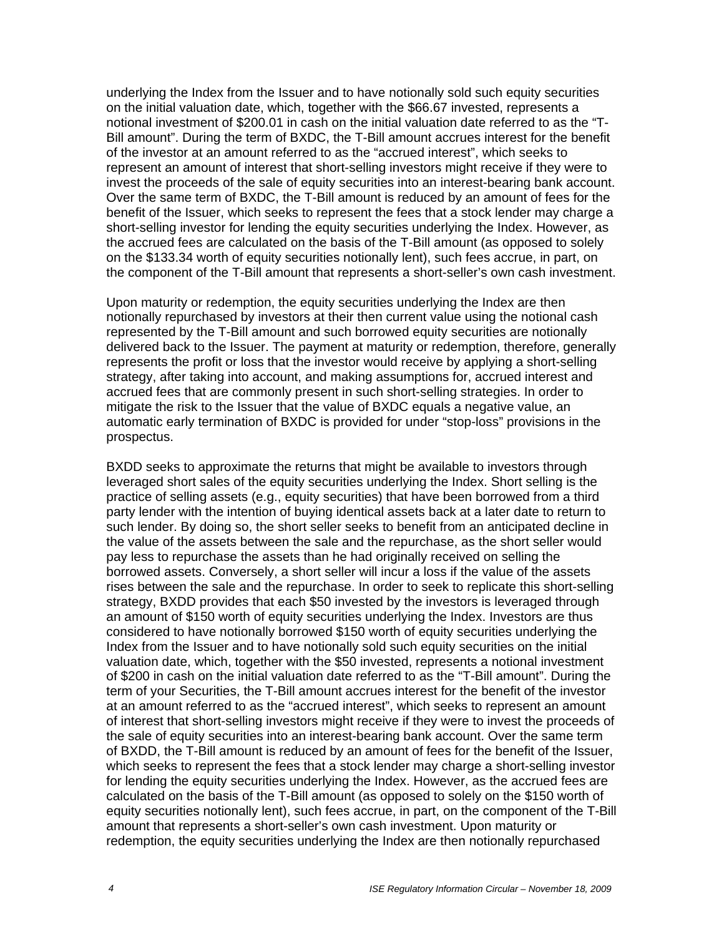underlying the Index from the Issuer and to have notionally sold such equity securities on the initial valuation date, which, together with the \$66.67 invested, represents a notional investment of \$200.01 in cash on the initial valuation date referred to as the "T-Bill amount". During the term of BXDC, the T-Bill amount accrues interest for the benefit of the investor at an amount referred to as the "accrued interest", which seeks to represent an amount of interest that short-selling investors might receive if they were to invest the proceeds of the sale of equity securities into an interest-bearing bank account. Over the same term of BXDC, the T-Bill amount is reduced by an amount of fees for the benefit of the Issuer, which seeks to represent the fees that a stock lender may charge a short-selling investor for lending the equity securities underlying the Index. However, as the accrued fees are calculated on the basis of the T-Bill amount (as opposed to solely on the \$133.34 worth of equity securities notionally lent), such fees accrue, in part, on the component of the T-Bill amount that represents a short-seller's own cash investment.

Upon maturity or redemption, the equity securities underlying the Index are then notionally repurchased by investors at their then current value using the notional cash represented by the T-Bill amount and such borrowed equity securities are notionally delivered back to the Issuer. The payment at maturity or redemption, therefore, generally represents the profit or loss that the investor would receive by applying a short-selling strategy, after taking into account, and making assumptions for, accrued interest and accrued fees that are commonly present in such short-selling strategies. In order to mitigate the risk to the Issuer that the value of BXDC equals a negative value, an automatic early termination of BXDC is provided for under "stop-loss" provisions in the prospectus.

BXDD seeks to approximate the returns that might be available to investors through leveraged short sales of the equity securities underlying the Index. Short selling is the practice of selling assets (e.g., equity securities) that have been borrowed from a third party lender with the intention of buying identical assets back at a later date to return to such lender. By doing so, the short seller seeks to benefit from an anticipated decline in the value of the assets between the sale and the repurchase, as the short seller would pay less to repurchase the assets than he had originally received on selling the borrowed assets. Conversely, a short seller will incur a loss if the value of the assets rises between the sale and the repurchase. In order to seek to replicate this short-selling strategy, BXDD provides that each \$50 invested by the investors is leveraged through an amount of \$150 worth of equity securities underlying the Index. Investors are thus considered to have notionally borrowed \$150 worth of equity securities underlying the Index from the Issuer and to have notionally sold such equity securities on the initial valuation date, which, together with the \$50 invested, represents a notional investment of \$200 in cash on the initial valuation date referred to as the "T-Bill amount". During the term of your Securities, the T-Bill amount accrues interest for the benefit of the investor at an amount referred to as the "accrued interest", which seeks to represent an amount of interest that short-selling investors might receive if they were to invest the proceeds of the sale of equity securities into an interest-bearing bank account. Over the same term of BXDD, the T-Bill amount is reduced by an amount of fees for the benefit of the Issuer, which seeks to represent the fees that a stock lender may charge a short-selling investor for lending the equity securities underlying the Index. However, as the accrued fees are calculated on the basis of the T-Bill amount (as opposed to solely on the \$150 worth of equity securities notionally lent), such fees accrue, in part, on the component of the T-Bill amount that represents a short-seller's own cash investment. Upon maturity or redemption, the equity securities underlying the Index are then notionally repurchased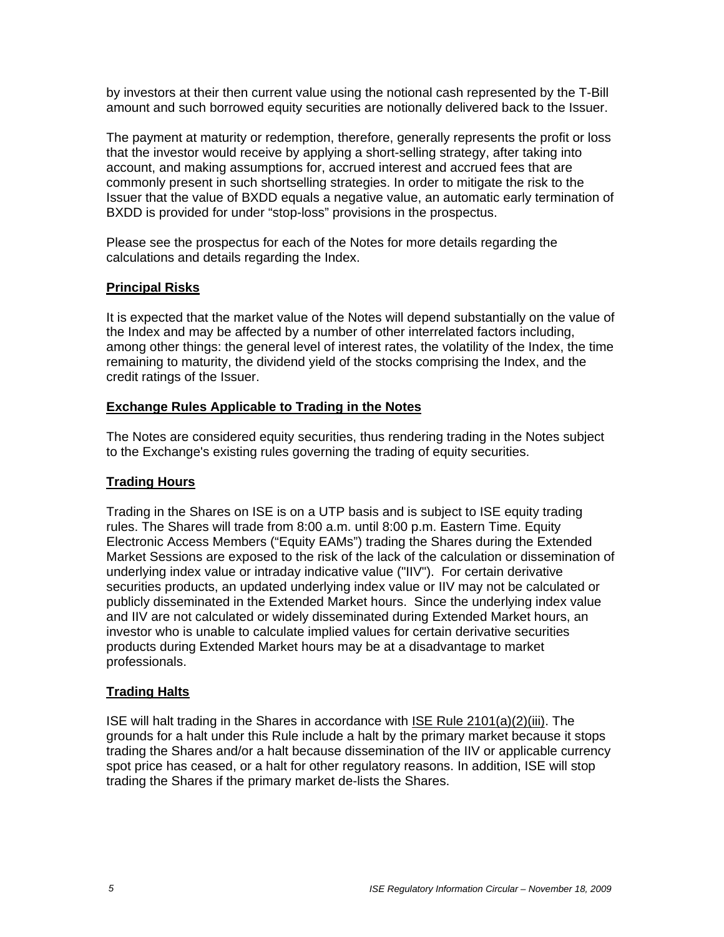by investors at their then current value using the notional cash represented by the T-Bill amount and such borrowed equity securities are notionally delivered back to the Issuer.

The payment at maturity or redemption, therefore, generally represents the profit or loss that the investor would receive by applying a short-selling strategy, after taking into account, and making assumptions for, accrued interest and accrued fees that are commonly present in such shortselling strategies. In order to mitigate the risk to the Issuer that the value of BXDD equals a negative value, an automatic early termination of BXDD is provided for under "stop-loss" provisions in the prospectus.

Please see the prospectus for each of the Notes for more details regarding the calculations and details regarding the Index.

## **Principal Risks**

It is expected that the market value of the Notes will depend substantially on the value of the Index and may be affected by a number of other interrelated factors including, among other things: the general level of interest rates, the volatility of the Index, the time remaining to maturity, the dividend yield of the stocks comprising the Index, and the credit ratings of the Issuer.

# **Exchange Rules Applicable to Trading in the Notes**

The Notes are considered equity securities, thus rendering trading in the Notes subject to the Exchange's existing rules governing the trading of equity securities.

# **Trading Hours**

Trading in the Shares on ISE is on a UTP basis and is subject to ISE equity trading rules. The Shares will trade from 8:00 a.m. until 8:00 p.m. Eastern Time. Equity Electronic Access Members ("Equity EAMs") trading the Shares during the Extended Market Sessions are exposed to the risk of the lack of the calculation or dissemination of underlying index value or intraday indicative value ("IIV"). For certain derivative securities products, an updated underlying index value or IIV may not be calculated or publicly disseminated in the Extended Market hours. Since the underlying index value and IIV are not calculated or widely disseminated during Extended Market hours, an investor who is unable to calculate implied values for certain derivative securities products during Extended Market hours may be at a disadvantage to market professionals.

## **Trading Halts**

ISE will halt trading in the Shares in accordance with ISE Rule 2101(a)(2)(iii). The grounds for a halt under this Rule include a halt by the primary market because it stops trading the Shares and/or a halt because dissemination of the IIV or applicable currency spot price has ceased, or a halt for other regulatory reasons. In addition, ISE will stop trading the Shares if the primary market de-lists the Shares.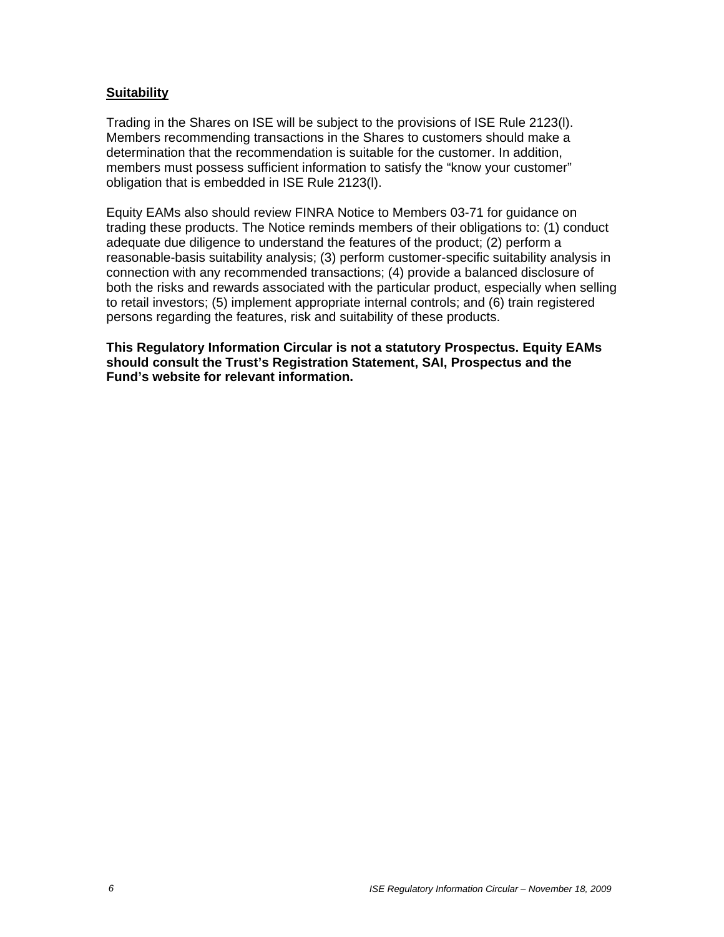#### **Suitability**

Trading in the Shares on ISE will be subject to the provisions of ISE Rule 2123(l). Members recommending transactions in the Shares to customers should make a determination that the recommendation is suitable for the customer. In addition, members must possess sufficient information to satisfy the "know your customer" obligation that is embedded in ISE Rule 2123(l).

Equity EAMs also should review FINRA Notice to Members 03-71 for guidance on trading these products. The Notice reminds members of their obligations to: (1) conduct adequate due diligence to understand the features of the product; (2) perform a reasonable-basis suitability analysis; (3) perform customer-specific suitability analysis in connection with any recommended transactions; (4) provide a balanced disclosure of both the risks and rewards associated with the particular product, especially when selling to retail investors; (5) implement appropriate internal controls; and (6) train registered persons regarding the features, risk and suitability of these products.

**This Regulatory Information Circular is not a statutory Prospectus. Equity EAMs should consult the Trust's Registration Statement, SAI, Prospectus and the Fund's website for relevant information.**